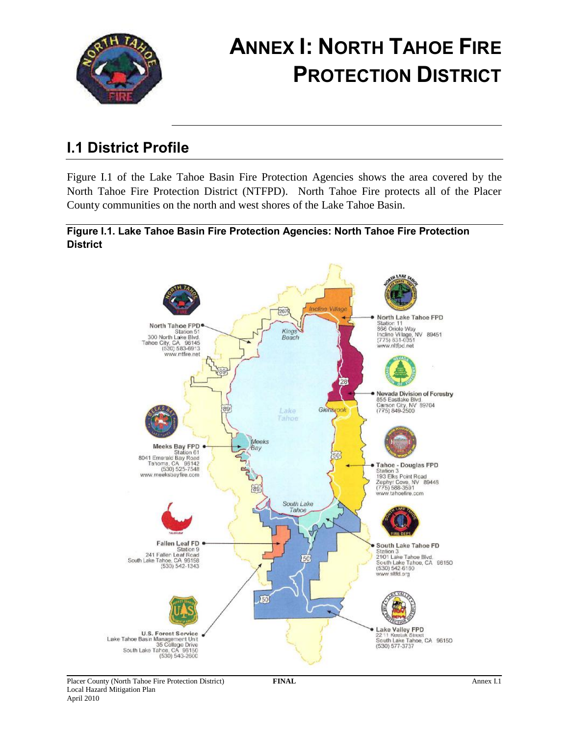

# **ANNEX I: NORTH TAHOE FIRE PROTECTION DISTRICT**

# **I.1 District Profile**

Figure I.1 of the Lake Tahoe Basin Fire Protection Agencies shows the area covered by the North Tahoe Fire Protection District (NTFPD). North Tahoe Fire protects all of the Placer County communities on the north and west shores of the Lake Tahoe Basin.

### **Figure I.1. Lake Tahoe Basin Fire Protection Agencies: North Tahoe Fire Protection District**

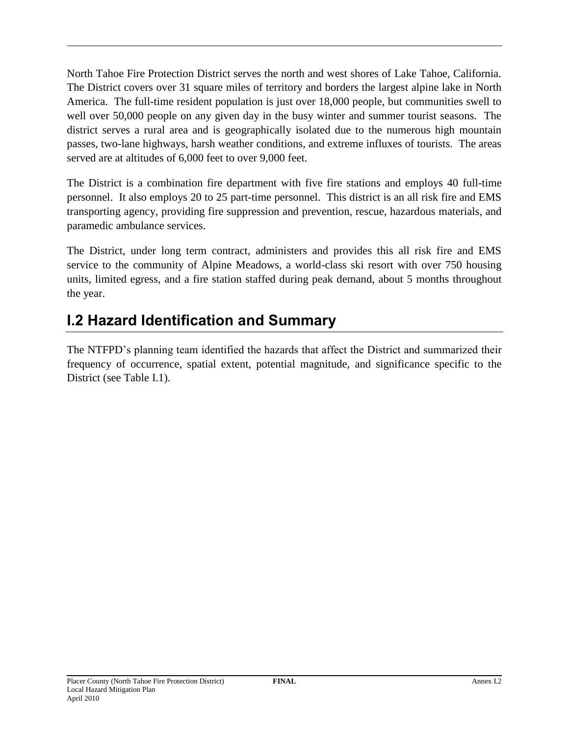North Tahoe Fire Protection District serves the north and west shores of Lake Tahoe, California. The District covers over 31 square miles of territory and borders the largest alpine lake in North America. The full-time resident population is just over 18,000 people, but communities swell to well over 50,000 people on any given day in the busy winter and summer tourist seasons. The district serves a rural area and is geographically isolated due to the numerous high mountain passes, two-lane highways, harsh weather conditions, and extreme influxes of tourists. The areas served are at altitudes of 6,000 feet to over 9,000 feet.

The District is a combination fire department with five fire stations and employs 40 full-time personnel. It also employs 20 to 25 part-time personnel. This district is an all risk fire and EMS transporting agency, providing fire suppression and prevention, rescue, hazardous materials, and paramedic ambulance services.

The District, under long term contract, administers and provides this all risk fire and EMS service to the community of Alpine Meadows, a world-class ski resort with over 750 housing units, limited egress, and a fire station staffed during peak demand, about 5 months throughout the year.

# **I.2 Hazard Identification and Summary**

The NTFPD's planning team identified the hazards that affect the District and summarized their frequency of occurrence, spatial extent, potential magnitude, and significance specific to the District (see Table I.1).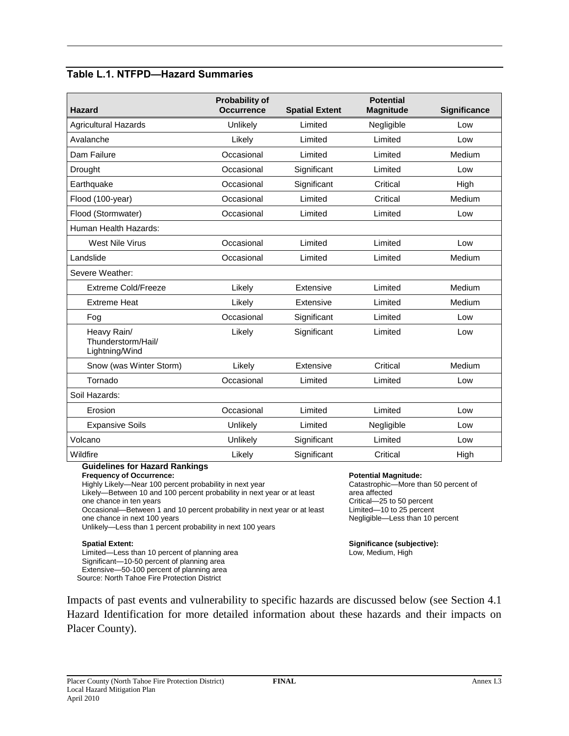### **Table L.1. NTFPD—Hazard Summaries**

| <b>Hazard</b>                                       | <b>Probability of</b><br><b>Occurrence</b> | <b>Spatial Extent</b> | <b>Potential</b><br><b>Magnitude</b> | <b>Significance</b> |
|-----------------------------------------------------|--------------------------------------------|-----------------------|--------------------------------------|---------------------|
| <b>Agricultural Hazards</b>                         | Unlikely                                   | Limited               | Negligible                           | Low                 |
| Avalanche                                           | Likely                                     | Limited               | Limited                              | Low                 |
| Dam Failure                                         | Occasional                                 | Limited               | Limited                              | Medium              |
| Drought                                             | Occasional                                 | Significant           | Limited                              | Low                 |
| Earthquake                                          | Occasional                                 | Significant           | Critical                             | High                |
| Flood (100-year)                                    | Occasional                                 | Limited               | Critical                             | Medium              |
| Flood (Stormwater)                                  | Occasional                                 | Limited               | Limited                              | Low                 |
| Human Health Hazards:                               |                                            |                       |                                      |                     |
| <b>West Nile Virus</b>                              | Occasional                                 | Limited               | Limited                              | Low                 |
| Landslide                                           | Occasional                                 | Limited               | Limited                              | Medium              |
| Severe Weather:                                     |                                            |                       |                                      |                     |
| Extreme Cold/Freeze                                 | Likely                                     | Extensive             | Limited                              | Medium              |
| <b>Extreme Heat</b>                                 | Likely                                     | Extensive             | Limited                              | Medium              |
| Fog                                                 | Occasional                                 | Significant           | Limited                              | Low                 |
| Heavy Rain/<br>Thunderstorm/Hail/<br>Lightning/Wind | Likely                                     | Significant           | Limited                              | Low                 |
| Snow (was Winter Storm)                             | Likely                                     | Extensive             | Critical                             | Medium              |
| Tornado                                             | Occasional                                 | Limited               | Limited                              | Low                 |
| Soil Hazards:                                       |                                            |                       |                                      |                     |
| Erosion                                             | Occasional                                 | Limited               | Limited                              | Low                 |
| <b>Expansive Soils</b>                              | Unlikely                                   | Limited               | Negligible                           | Low                 |
| Volcano                                             | Unlikely                                   | Significant           | Limited                              | Low                 |
| Wildfire                                            | Likely                                     | Significant           | Critical                             | High                |

### **Guidelines for Hazard Rankings**

**Frequency of Occurrence:**

Highly Likely—Near 100 percent probability in next year

Likely—Between 10 and 100 percent probability in next year or at least one chance in ten years

Occasional—Between 1 and 10 percent probability in next year or at least one chance in next 100 years

Unlikely—Less than 1 percent probability in next 100 years

#### **Spatial Extent:**

Limited—Less than 10 percent of planning area Significant—10-50 percent of planning area Extensive—50-100 percent of planning area Source: North Tahoe Fire Protection District

#### **Potential Magnitude:**

Catastrophic—More than 50 percent of area affected Critical—25 to 50 percent Limited—10 to 25 percent Negligible—Less than 10 percent

**Significance (subjective):** Low, Medium, High

Impacts of past events and vulnerability to specific hazards are discussed below (see Section 4.1 Hazard Identification for more detailed information about these hazards and their impacts on Placer County).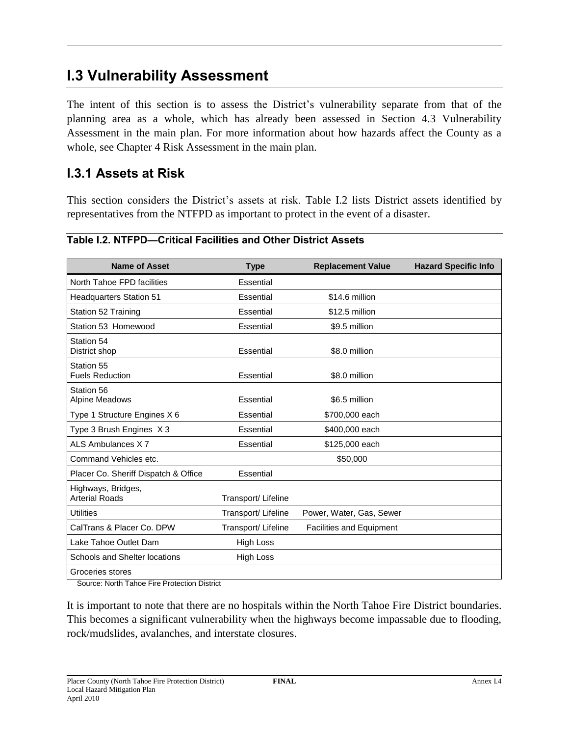# **I.3 Vulnerability Assessment**

The intent of this section is to assess the District's vulnerability separate from that of the planning area as a whole, which has already been assessed in Section 4.3 Vulnerability Assessment in the main plan. For more information about how hazards affect the County as a whole, see Chapter 4 Risk Assessment in the main plan.

### **I.3.1 Assets at Risk**

This section considers the District's assets at risk. Table I.2 lists District assets identified by representatives from the NTFPD as important to protect in the event of a disaster.

| <b>Name of Asset</b>                        | <b>Type</b>         | <b>Replacement Value</b>        | <b>Hazard Specific Info</b> |
|---------------------------------------------|---------------------|---------------------------------|-----------------------------|
| North Tahoe FPD facilities                  | Essential           |                                 |                             |
| <b>Headquarters Station 51</b>              | Essential           | \$14.6 million                  |                             |
| Station 52 Training                         | Essential           | \$12.5 million                  |                             |
| Station 53 Homewood                         | Essential           | \$9.5 million                   |                             |
| Station 54<br>District shop                 | Essential           | \$8.0 million                   |                             |
| Station 55<br><b>Fuels Reduction</b>        | Essential           | \$8.0 million                   |                             |
| Station 56<br><b>Alpine Meadows</b>         | Essential           | \$6.5 million                   |                             |
| Type 1 Structure Engines X 6                | Essential           | \$700,000 each                  |                             |
| Type 3 Brush Engines X 3                    | Essential           | \$400,000 each                  |                             |
| ALS Ambulances X7                           | Essential           | \$125,000 each                  |                             |
| Command Vehicles etc.                       |                     | \$50,000                        |                             |
| Placer Co. Sheriff Dispatch & Office        | Essential           |                                 |                             |
| Highways, Bridges,<br><b>Arterial Roads</b> | Transport/ Lifeline |                                 |                             |
| <b>Utilities</b>                            | Transport/ Lifeline | Power, Water, Gas, Sewer        |                             |
| CalTrans & Placer Co. DPW                   | Transport/ Lifeline | <b>Facilities and Equipment</b> |                             |
| Lake Tahoe Outlet Dam                       | <b>High Loss</b>    |                                 |                             |
| <b>Schools and Shelter locations</b>        | <b>High Loss</b>    |                                 |                             |
| Groceries stores                            |                     |                                 |                             |

#### **Table I.2. NTFPD—Critical Facilities and Other District Assets**

Source: North Tahoe Fire Protection District

It is important to note that there are no hospitals within the North Tahoe Fire District boundaries. This becomes a significant vulnerability when the highways become impassable due to flooding, rock/mudslides, avalanches, and interstate closures.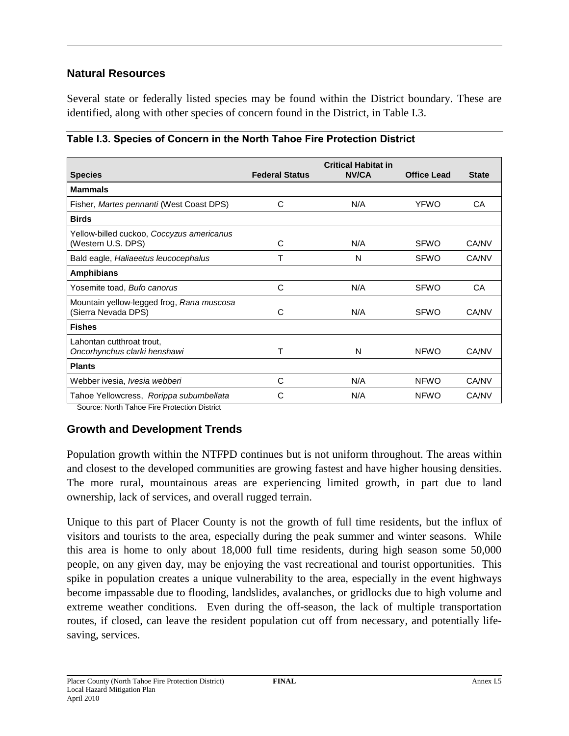### **Natural Resources**

Several state or federally listed species may be found within the District boundary. These are identified, along with other species of concern found in the District, in Table I.3.

|                                           | <b>Federal Status</b> | <b>Critical Habitat in</b><br><b>NV/CA</b> |                    |              |
|-------------------------------------------|-----------------------|--------------------------------------------|--------------------|--------------|
| <b>Species</b>                            |                       |                                            | <b>Office Lead</b> | <b>State</b> |
| <b>Mammals</b>                            |                       |                                            |                    |              |
| Fisher, Martes pennanti (West Coast DPS)  | C                     | N/A                                        | <b>YFWO</b>        | CA           |
| <b>Birds</b>                              |                       |                                            |                    |              |
| Yellow-billed cuckoo, Coccyzus americanus |                       |                                            |                    |              |
| (Western U.S. DPS)                        | C                     | N/A                                        | <b>SFWO</b>        | CA/NV        |
| Bald eagle, Haliaeetus leucocephalus      | Т                     | N                                          | <b>SFWO</b>        | CA/NV        |
| <b>Amphibians</b>                         |                       |                                            |                    |              |
| Yosemite toad, Bufo canorus               | C                     | N/A                                        | <b>SFWO</b>        | CA           |
| Mountain yellow-legged frog, Rana muscosa |                       |                                            |                    |              |
| (Sierra Nevada DPS)                       | C                     | N/A                                        | <b>SFWO</b>        | CA/NV        |
| <b>Fishes</b>                             |                       |                                            |                    |              |
| Lahontan cutthroat trout,                 |                       |                                            |                    |              |
| Oncorhynchus clarki henshawi              | т                     | N                                          | <b>NFWO</b>        | CA/NV        |
| <b>Plants</b>                             |                       |                                            |                    |              |
| Webber ivesia, Ivesia webberi             | C                     | N/A                                        | <b>NFWO</b>        | CA/NV        |
| Tahoe Yellowcress, Rorippa subumbellata   | C                     | N/A                                        | <b>NFWO</b>        | CA/NV        |

|  |  | Table I.3. Species of Concern in the North Tahoe Fire Protection District |  |
|--|--|---------------------------------------------------------------------------|--|
|  |  |                                                                           |  |

Source: North Tahoe Fire Protection District

### **Growth and Development Trends**

Population growth within the NTFPD continues but is not uniform throughout. The areas within and closest to the developed communities are growing fastest and have higher housing densities. The more rural, mountainous areas are experiencing limited growth, in part due to land ownership, lack of services, and overall rugged terrain.

Unique to this part of Placer County is not the growth of full time residents, but the influx of visitors and tourists to the area, especially during the peak summer and winter seasons. While this area is home to only about 18,000 full time residents, during high season some 50,000 people, on any given day, may be enjoying the vast recreational and tourist opportunities. This spike in population creates a unique vulnerability to the area, especially in the event highways become impassable due to flooding, landslides, avalanches, or gridlocks due to high volume and extreme weather conditions. Even during the off-season, the lack of multiple transportation routes, if closed, can leave the resident population cut off from necessary, and potentially lifesaving, services.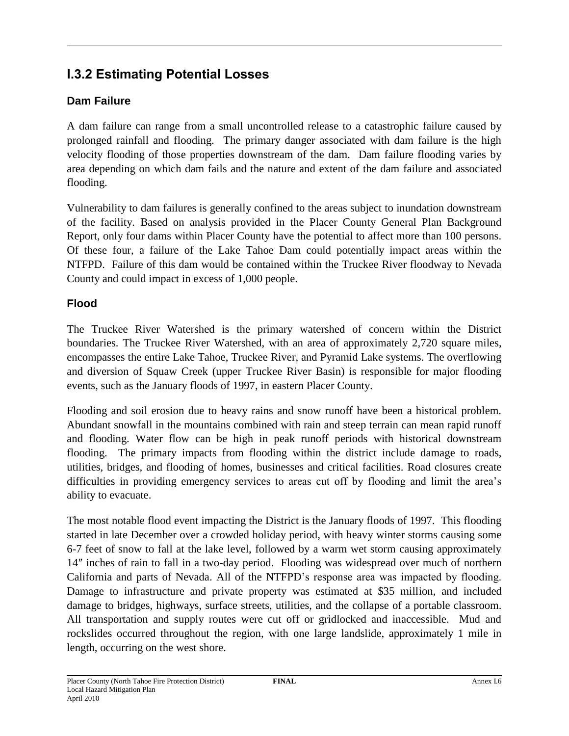### **I.3.2 Estimating Potential Losses**

### **Dam Failure**

A dam failure can range from a small uncontrolled release to a catastrophic failure caused by prolonged rainfall and flooding. The primary danger associated with dam failure is the high velocity flooding of those properties downstream of the dam. Dam failure flooding varies by area depending on which dam fails and the nature and extent of the dam failure and associated flooding.

Vulnerability to dam failures is generally confined to the areas subject to inundation downstream of the facility. Based on analysis provided in the Placer County General Plan Background Report, only four dams within Placer County have the potential to affect more than 100 persons. Of these four, a failure of the Lake Tahoe Dam could potentially impact areas within the NTFPD. Failure of this dam would be contained within the Truckee River floodway to Nevada County and could impact in excess of 1,000 people.

### **Flood**

The Truckee River Watershed is the primary watershed of concern within the District boundaries. The Truckee River Watershed, with an area of approximately 2,720 square miles, encompasses the entire Lake Tahoe, Truckee River, and Pyramid Lake systems. The overflowing and diversion of Squaw Creek (upper Truckee River Basin) is responsible for major flooding events, such as the January floods of 1997, in eastern Placer County.

Flooding and soil erosion due to heavy rains and snow runoff have been a historical problem. Abundant snowfall in the mountains combined with rain and steep terrain can mean rapid runoff and flooding. Water flow can be high in peak runoff periods with historical downstream flooding. The primary impacts from flooding within the district include damage to roads, utilities, bridges, and flooding of homes, businesses and critical facilities. Road closures create difficulties in providing emergency services to areas cut off by flooding and limit the area's ability to evacuate.

The most notable flood event impacting the District is the January floods of 1997. This flooding started in late December over a crowded holiday period, with heavy winter storms causing some 6-7 feet of snow to fall at the lake level, followed by a warm wet storm causing approximately 14″ inches of rain to fall in a two-day period. Flooding was widespread over much of northern California and parts of Nevada. All of the NTFPD's response area was impacted by flooding. Damage to infrastructure and private property was estimated at \$35 million, and included damage to bridges, highways, surface streets, utilities, and the collapse of a portable classroom. All transportation and supply routes were cut off or gridlocked and inaccessible. Mud and rockslides occurred throughout the region, with one large landslide, approximately 1 mile in length, occurring on the west shore.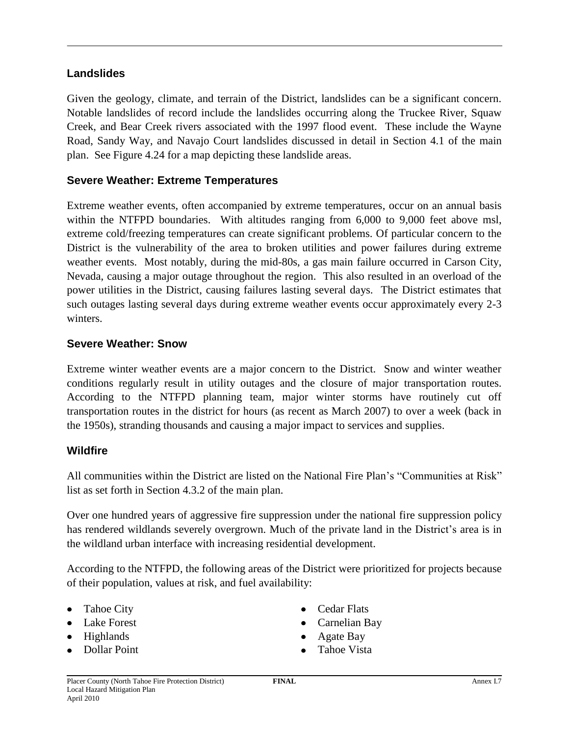### **Landslides**

Given the geology, climate, and terrain of the District, landslides can be a significant concern. Notable landslides of record include the landslides occurring along the Truckee River, Squaw Creek, and Bear Creek rivers associated with the 1997 flood event. These include the Wayne Road, Sandy Way, and Navajo Court landslides discussed in detail in Section 4.1 of the main plan. See Figure 4.24 for a map depicting these landslide areas.

### **Severe Weather: Extreme Temperatures**

Extreme weather events, often accompanied by extreme temperatures, occur on an annual basis within the NTFPD boundaries. With altitudes ranging from 6,000 to 9,000 feet above msl, extreme cold/freezing temperatures can create significant problems. Of particular concern to the District is the vulnerability of the area to broken utilities and power failures during extreme weather events. Most notably, during the mid-80s, a gas main failure occurred in Carson City, Nevada, causing a major outage throughout the region. This also resulted in an overload of the power utilities in the District, causing failures lasting several days. The District estimates that such outages lasting several days during extreme weather events occur approximately every 2-3 winters.

### **Severe Weather: Snow**

Extreme winter weather events are a major concern to the District. Snow and winter weather conditions regularly result in utility outages and the closure of major transportation routes. According to the NTFPD planning team, major winter storms have routinely cut off transportation routes in the district for hours (as recent as March 2007) to over a week (back in the 1950s), stranding thousands and causing a major impact to services and supplies.

### **Wildfire**

All communities within the District are listed on the National Fire Plan's "Communities at Risk" list as set forth in Section 4.3.2 of the main plan.

Over one hundred years of aggressive fire suppression under the national fire suppression policy has rendered wildlands severely overgrown. Much of the private land in the District's area is in the wildland urban interface with increasing residential development.

According to the NTFPD, the following areas of the District were prioritized for projects because of their population, values at risk, and fuel availability:

- Tahoe City
- Lake Forest
- Highlands
- Dollar Point
- Cedar Flats
- Carnelian Bay
- Agate Bay
- Tahoe Vista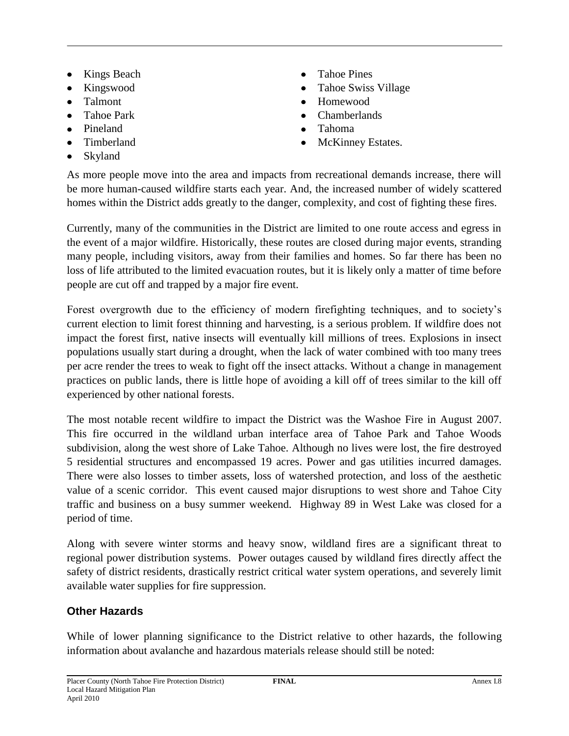- Kings Beach  $\bullet$
- Kingswood
- Talmont
- Tahoe Park
- Pineland
- Timberland
- Skyland
- Tahoe Pines  $\bullet$
- Tahoe Swiss Village
- Homewood
- Chamberlands
- Tahoma
- McKinney Estates.

As more people move into the area and impacts from recreational demands increase, there will be more human-caused wildfire starts each year. And, the increased number of widely scattered homes within the District adds greatly to the danger, complexity, and cost of fighting these fires.

Currently, many of the communities in the District are limited to one route access and egress in the event of a major wildfire. Historically, these routes are closed during major events, stranding many people, including visitors, away from their families and homes. So far there has been no loss of life attributed to the limited evacuation routes, but it is likely only a matter of time before people are cut off and trapped by a major fire event.

Forest overgrowth due to the efficiency of modern firefighting techniques, and to society's current election to limit forest thinning and harvesting, is a serious problem. If wildfire does not impact the forest first, native insects will eventually kill millions of trees. Explosions in insect populations usually start during a drought, when the lack of water combined with too many trees per acre render the trees to weak to fight off the insect attacks. Without a change in management practices on public lands, there is little hope of avoiding a kill off of trees similar to the kill off experienced by other national forests.

The most notable recent wildfire to impact the District was the Washoe Fire in August 2007. This fire occurred in the wildland urban interface area of Tahoe Park and Tahoe Woods subdivision, along the west shore of Lake Tahoe. Although no lives were lost, the fire destroyed 5 residential structures and encompassed 19 acres. Power and gas utilities incurred damages. There were also losses to timber assets, loss of watershed protection, and loss of the aesthetic value of a scenic corridor. This event caused major disruptions to west shore and Tahoe City traffic and business on a busy summer weekend. Highway 89 in West Lake was closed for a period of time.

Along with severe winter storms and heavy snow, wildland fires are a significant threat to regional power distribution systems. Power outages caused by wildland fires directly affect the safety of district residents, drastically restrict critical water system operations, and severely limit available water supplies for fire suppression.

### **Other Hazards**

While of lower planning significance to the District relative to other hazards, the following information about avalanche and hazardous materials release should still be noted: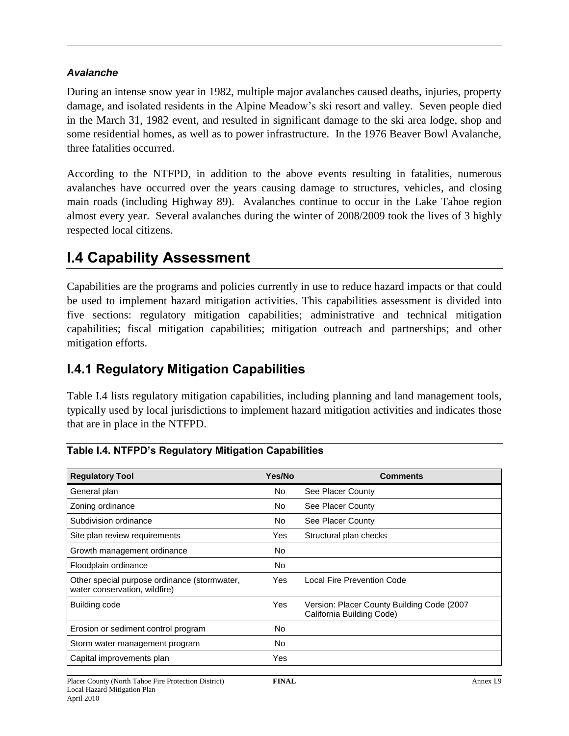### *Avalanche*

During an intense snow year in 1982, multiple major avalanches caused deaths, injuries, property damage, and isolated residents in the Alpine Meadow's ski resort and valley. Seven people died in the March 31, 1982 event, and resulted in significant damage to the ski area lodge, shop and some residential homes, as well as to power infrastructure. In the 1976 Beaver Bowl Avalanche, three fatalities occurred.

According to the NTFPD, in addition to the above events resulting in fatalities, numerous avalanches have occurred over the years causing damage to structures, vehicles, and closing main roads (including Highway 89). Avalanches continue to occur in the Lake Tahoe region almost every year. Several avalanches during the winter of 2008/2009 took the lives of 3 highly respected local citizens.

# **I.4 Capability Assessment**

Capabilities are the programs and policies currently in use to reduce hazard impacts or that could be used to implement hazard mitigation activities. This capabilities assessment is divided into five sections: regulatory mitigation capabilities; administrative and technical mitigation capabilities; fiscal mitigation capabilities; mitigation outreach and partnerships; and other mitigation efforts.

### **I.4.1 Regulatory Mitigation Capabilities**

Table I.4 lists regulatory mitigation capabilities, including planning and land management tools, typically used by local jurisdictions to implement hazard mitigation activities and indicates those that are in place in the NTFPD.

| <b>Regulatory Tool</b>                                                        | Yes/No     | <b>Comments</b>                                                         |
|-------------------------------------------------------------------------------|------------|-------------------------------------------------------------------------|
| General plan                                                                  | No.        | See Placer County                                                       |
| Zoning ordinance                                                              | No.        | See Placer County                                                       |
| Subdivision ordinance                                                         | No.        | See Placer County                                                       |
| Site plan review requirements                                                 | Yes        | Structural plan checks                                                  |
| Growth management ordinance                                                   | No.        |                                                                         |
| Floodplain ordinance                                                          | <b>No</b>  |                                                                         |
| Other special purpose ordinance (stormwater,<br>water conservation, wildfire) | Yes        | Local Fire Prevention Code                                              |
| Building code                                                                 | <b>Yes</b> | Version: Placer County Building Code (2007<br>California Building Code) |
| Erosion or sediment control program                                           | <b>No</b>  |                                                                         |
| Storm water management program                                                | No.        |                                                                         |
| Capital improvements plan                                                     | Yes        |                                                                         |

### **Table I.4. NTFPD's Regulatory Mitigation Capabilities**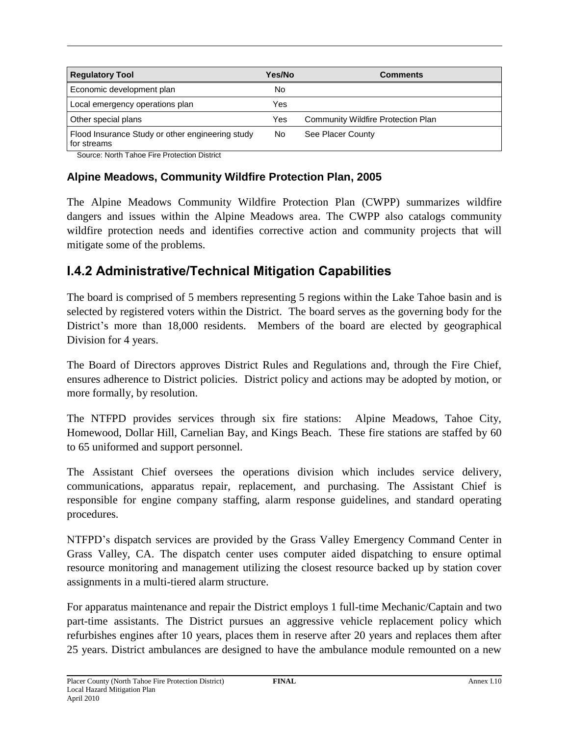| <b>Regulatory Tool</b>                                          | Yes/No | <b>Comments</b>                    |  |
|-----------------------------------------------------------------|--------|------------------------------------|--|
| Economic development plan                                       | No     |                                    |  |
| Local emergency operations plan                                 | Yes    |                                    |  |
| Other special plans                                             | Yes    | Community Wildfire Protection Plan |  |
| Flood Insurance Study or other engineering study<br>for streams | No     | See Placer County                  |  |

Source: North Tahoe Fire Protection District

### **Alpine Meadows, Community Wildfire Protection Plan, 2005**

The Alpine Meadows Community Wildfire Protection Plan (CWPP) summarizes wildfire dangers and issues within the Alpine Meadows area. The CWPP also catalogs community wildfire protection needs and identifies corrective action and community projects that will mitigate some of the problems.

### **I.4.2 Administrative/Technical Mitigation Capabilities**

The board is comprised of 5 members representing 5 regions within the Lake Tahoe basin and is selected by registered voters within the District. The board serves as the governing body for the District's more than 18,000 residents. Members of the board are elected by geographical Division for 4 years.

The Board of Directors approves District Rules and Regulations and, through the Fire Chief, ensures adherence to District policies. District policy and actions may be adopted by motion, or more formally, by resolution.

The NTFPD provides services through six fire stations: Alpine Meadows, Tahoe City, Homewood, Dollar Hill, Carnelian Bay, and Kings Beach. These fire stations are staffed by 60 to 65 uniformed and support personnel.

The Assistant Chief oversees the operations division which includes service delivery, communications, apparatus repair, replacement, and purchasing. The Assistant Chief is responsible for engine company staffing, alarm response guidelines, and standard operating procedures.

NTFPD's dispatch services are provided by the Grass Valley Emergency Command Center in Grass Valley, CA. The dispatch center uses computer aided dispatching to ensure optimal resource monitoring and management utilizing the closest resource backed up by station cover assignments in a multi-tiered alarm structure.

For apparatus maintenance and repair the District employs 1 full-time Mechanic/Captain and two part-time assistants. The District pursues an aggressive vehicle replacement policy which refurbishes engines after 10 years, places them in reserve after 20 years and replaces them after 25 years. District ambulances are designed to have the ambulance module remounted on a new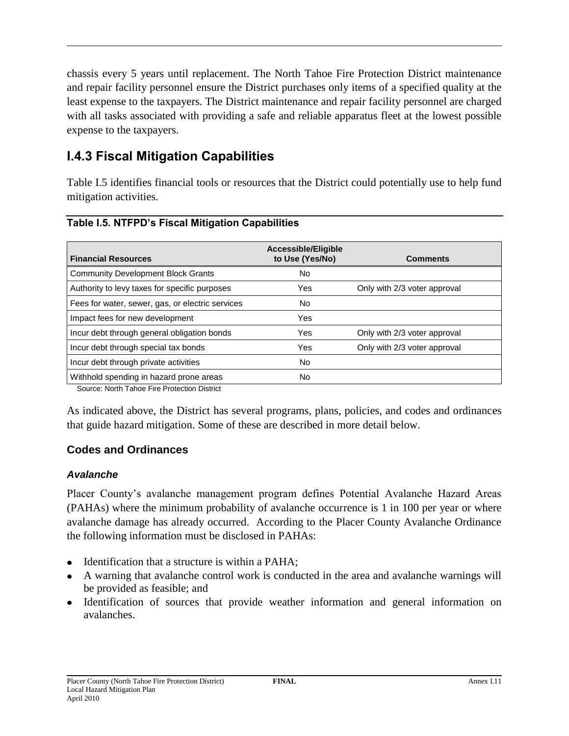chassis every 5 years until replacement. The North Tahoe Fire Protection District maintenance and repair facility personnel ensure the District purchases only items of a specified quality at the least expense to the taxpayers. The District maintenance and repair facility personnel are charged with all tasks associated with providing a safe and reliable apparatus fleet at the lowest possible expense to the taxpayers.

# **I.4.3 Fiscal Mitigation Capabilities**

Table I.5 identifies financial tools or resources that the District could potentially use to help fund mitigation activities.

| <b>Financial Resources</b>                       | Accessible/Eligible<br>to Use (Yes/No) | <b>Comments</b>              |
|--------------------------------------------------|----------------------------------------|------------------------------|
| <b>Community Development Block Grants</b>        | No                                     |                              |
| Authority to levy taxes for specific purposes    | Yes                                    | Only with 2/3 voter approval |
| Fees for water, sewer, gas, or electric services | No                                     |                              |
| Impact fees for new development                  | Yes                                    |                              |
| Incur debt through general obligation bonds      | Yes                                    | Only with 2/3 voter approval |
| Incur debt through special tax bonds             | Yes                                    | Only with 2/3 voter approval |
| Incur debt through private activities            | No                                     |                              |
| Withhold spending in hazard prone areas          | No                                     |                              |

### **Table I.5. NTFPD's Fiscal Mitigation Capabilities**

Source: North Tahoe Fire Protection District

As indicated above, the District has several programs, plans, policies, and codes and ordinances that guide hazard mitigation. Some of these are described in more detail below.

### **Codes and Ordinances**

### *Avalanche*

Placer County's avalanche management program defines Potential Avalanche Hazard Areas (PAHAs) where the minimum probability of avalanche occurrence is 1 in 100 per year or where avalanche damage has already occurred. According to the Placer County Avalanche Ordinance the following information must be disclosed in PAHAs:

- Identification that a structure is within a PAHA;
- A warning that avalanche control work is conducted in the area and avalanche warnings will be provided as feasible; and
- Identification of sources that provide weather information and general information on avalanches.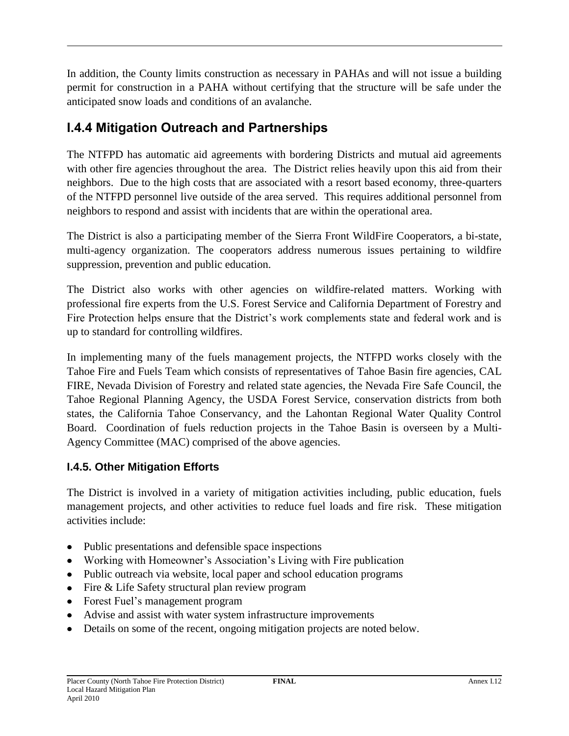In addition, the County limits construction as necessary in PAHAs and will not issue a building permit for construction in a PAHA without certifying that the structure will be safe under the anticipated snow loads and conditions of an avalanche.

# **I.4.4 Mitigation Outreach and Partnerships**

The NTFPD has automatic aid agreements with bordering Districts and mutual aid agreements with other fire agencies throughout the area. The District relies heavily upon this aid from their neighbors. Due to the high costs that are associated with a resort based economy, three-quarters of the NTFPD personnel live outside of the area served. This requires additional personnel from neighbors to respond and assist with incidents that are within the operational area.

The District is also a participating member of the Sierra Front WildFire Cooperators, a bi-state, multi-agency organization. The cooperators address numerous issues pertaining to wildfire suppression, prevention and public education.

The District also works with other agencies on wildfire-related matters. Working with professional fire experts from the U.S. Forest Service and California Department of Forestry and Fire Protection helps ensure that the District's work complements state and federal work and is up to standard for controlling wildfires.

In implementing many of the fuels management projects, the NTFPD works closely with the Tahoe Fire and Fuels Team which consists of representatives of Tahoe Basin fire agencies, CAL FIRE, Nevada Division of Forestry and related state agencies, the Nevada Fire Safe Council, the Tahoe Regional Planning Agency, the USDA Forest Service, conservation districts from both states, the California Tahoe Conservancy, and the Lahontan Regional Water Quality Control Board. Coordination of fuels reduction projects in the Tahoe Basin is overseen by a Multi-Agency Committee (MAC) comprised of the above agencies.

### **I.4.5. Other Mitigation Efforts**

The District is involved in a variety of mitigation activities including, public education, fuels management projects, and other activities to reduce fuel loads and fire risk. These mitigation activities include:

- Public presentations and defensible space inspections
- Working with Homeowner's Association's Living with Fire publication
- Public outreach via website, local paper and school education programs
- Fire & Life Safety structural plan review program
- Forest Fuel's management program
- Advise and assist with water system infrastructure improvements
- Details on some of the recent, ongoing mitigation projects are noted below.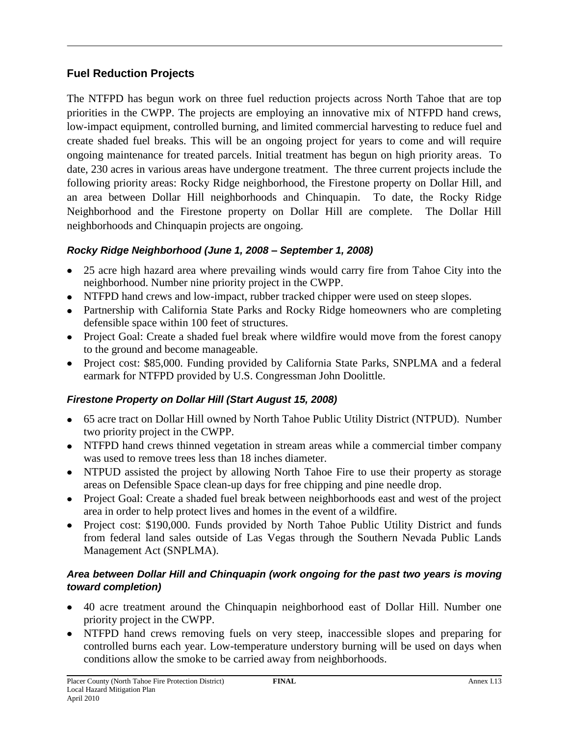### **Fuel Reduction Projects**

The NTFPD has begun work on three fuel reduction projects across North Tahoe that are top priorities in the CWPP. The projects are employing an innovative mix of NTFPD hand crews, low-impact equipment, controlled burning, and limited commercial harvesting to reduce fuel and create shaded fuel breaks. This will be an ongoing project for years to come and will require ongoing maintenance for treated parcels. Initial treatment has begun on high priority areas. To date, 230 acres in various areas have undergone treatment. The three current projects include the following priority areas: Rocky Ridge neighborhood, the Firestone property on Dollar Hill, and an area between Dollar Hill neighborhoods and Chinquapin. To date, the Rocky Ridge Neighborhood and the Firestone property on Dollar Hill are complete. The Dollar Hill neighborhoods and Chinquapin projects are ongoing.

### *Rocky Ridge Neighborhood (June 1, 2008 – September 1, 2008)*

- 25 acre high hazard area where prevailing winds would carry fire from Tahoe City into the neighborhood. Number nine priority project in the CWPP.
- NTFPD hand crews and low-impact, rubber tracked chipper were used on steep slopes.
- Partnership with California State Parks and Rocky Ridge homeowners who are completing defensible space within 100 feet of structures.
- Project Goal: Create a shaded fuel break where wildfire would move from the forest canopy to the ground and become manageable.
- Project cost: \$85,000. Funding provided by California State Parks, SNPLMA and a federal earmark for NTFPD provided by U.S. Congressman John Doolittle.

### *Firestone Property on Dollar Hill (Start August 15, 2008)*

- 65 acre tract on Dollar Hill owned by North Tahoe Public Utility District (NTPUD). Number two priority project in the CWPP.
- NTFPD hand crews thinned vegetation in stream areas while a commercial timber company was used to remove trees less than 18 inches diameter.
- NTPUD assisted the project by allowing North Tahoe Fire to use their property as storage areas on Defensible Space clean-up days for free chipping and pine needle drop.
- Project Goal: Create a shaded fuel break between neighborhoods east and west of the project area in order to help protect lives and homes in the event of a wildfire.
- Project cost: \$190,000. Funds provided by North Tahoe Public Utility District and funds from federal land sales outside of Las Vegas through the Southern Nevada Public Lands Management Act (SNPLMA).

### *Area between Dollar Hill and Chinquapin (work ongoing for the past two years is moving toward completion)*

- 40 acre treatment around the Chinquapin neighborhood east of Dollar Hill. Number one priority project in the CWPP.
- NTFPD hand crews removing fuels on very steep, inaccessible slopes and preparing for controlled burns each year. Low-temperature understory burning will be used on days when conditions allow the smoke to be carried away from neighborhoods.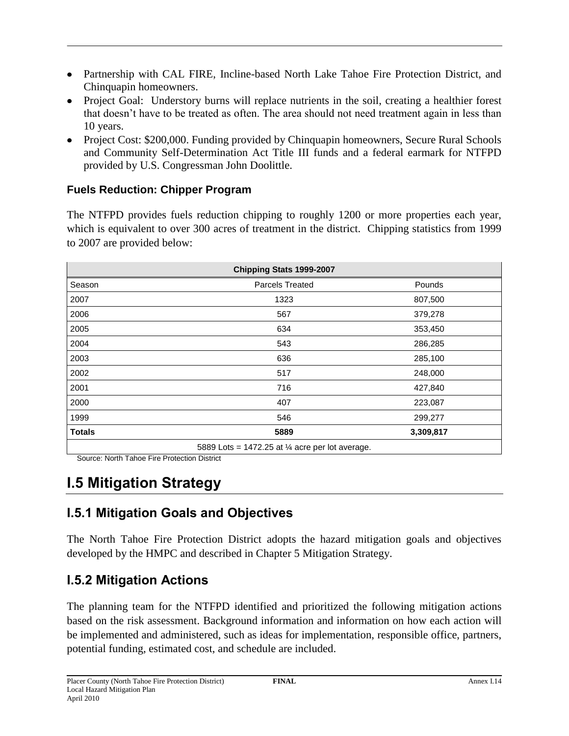- Partnership with CAL FIRE, Incline-based North Lake Tahoe Fire Protection District, and Chinquapin homeowners.
- Project Goal: Understory burns will replace nutrients in the soil, creating a healthier forest that doesn't have to be treated as often. The area should not need treatment again in less than 10 years.
- Project Cost: \$200,000. Funding provided by Chinquapin homeowners, Secure Rural Schools and Community Self-Determination Act Title III funds and a federal earmark for NTFPD provided by U.S. Congressman John Doolittle.

### **Fuels Reduction: Chipper Program**

The NTFPD provides fuels reduction chipping to roughly 1200 or more properties each year, which is equivalent to over 300 acres of treatment in the district. Chipping statistics from 1999 to 2007 are provided below:

| Chipping Stats 1999-2007                                   |                 |           |  |
|------------------------------------------------------------|-----------------|-----------|--|
| Season                                                     | Parcels Treated | Pounds    |  |
| 2007                                                       | 1323            | 807,500   |  |
| 2006                                                       | 567             | 379,278   |  |
| 2005                                                       | 634             | 353,450   |  |
| 2004                                                       | 543             | 286,285   |  |
| 2003                                                       | 636             | 285,100   |  |
| 2002                                                       | 517             | 248,000   |  |
| 2001                                                       | 716             | 427,840   |  |
| 2000                                                       | 407             | 223,087   |  |
| 1999                                                       | 546             | 299,277   |  |
| <b>Totals</b>                                              | 5889            | 3,309,817 |  |
| 5889 Lots = 1472.25 at $\frac{1}{4}$ acre per lot average. |                 |           |  |

Source: North Tahoe Fire Protection District

# **I.5 Mitigation Strategy**

# **I.5.1 Mitigation Goals and Objectives**

The North Tahoe Fire Protection District adopts the hazard mitigation goals and objectives developed by the HMPC and described in Chapter 5 Mitigation Strategy.

### **I.5.2 Mitigation Actions**

The planning team for the NTFPD identified and prioritized the following mitigation actions based on the risk assessment. Background information and information on how each action will be implemented and administered, such as ideas for implementation, responsible office, partners, potential funding, estimated cost, and schedule are included.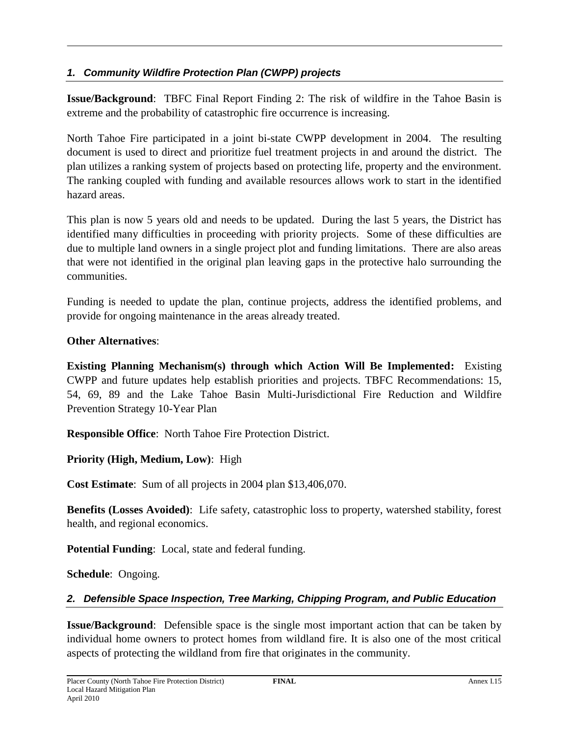### *1. Community Wildfire Protection Plan (CWPP) projects*

**Issue/Background**: TBFC Final Report Finding 2: The risk of wildfire in the Tahoe Basin is extreme and the probability of catastrophic fire occurrence is increasing.

North Tahoe Fire participated in a joint bi-state CWPP development in 2004. The resulting document is used to direct and prioritize fuel treatment projects in and around the district. The plan utilizes a ranking system of projects based on protecting life, property and the environment. The ranking coupled with funding and available resources allows work to start in the identified hazard areas.

This plan is now 5 years old and needs to be updated. During the last 5 years, the District has identified many difficulties in proceeding with priority projects. Some of these difficulties are due to multiple land owners in a single project plot and funding limitations. There are also areas that were not identified in the original plan leaving gaps in the protective halo surrounding the communities.

Funding is needed to update the plan, continue projects, address the identified problems, and provide for ongoing maintenance in the areas already treated.

### **Other Alternatives**:

**Existing Planning Mechanism(s) through which Action Will Be Implemented:** Existing CWPP and future updates help establish priorities and projects. TBFC Recommendations: 15, 54, 69, 89 and the Lake Tahoe Basin Multi-Jurisdictional Fire Reduction and Wildfire Prevention Strategy 10-Year Plan

**Responsible Office**: North Tahoe Fire Protection District.

**Priority (High, Medium, Low)**: High

**Cost Estimate**: Sum of all projects in 2004 plan \$13,406,070.

**Benefits (Losses Avoided)**: Life safety, catastrophic loss to property, watershed stability, forest health, and regional economics.

**Potential Funding**: Local, state and federal funding.

**Schedule**: Ongoing.

### *2. Defensible Space Inspection, Tree Marking, Chipping Program, and Public Education*

**Issue/Background**: Defensible space is the single most important action that can be taken by individual home owners to protect homes from wildland fire. It is also one of the most critical aspects of protecting the wildland from fire that originates in the community.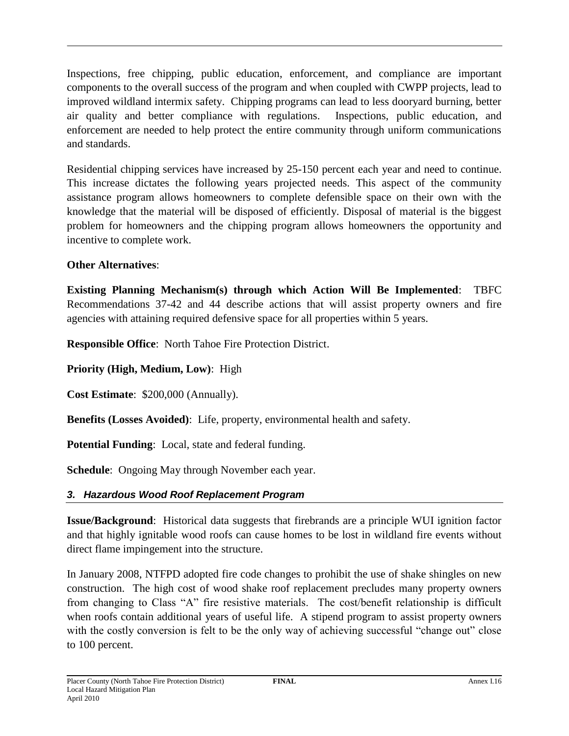Inspections, free chipping, public education, enforcement, and compliance are important components to the overall success of the program and when coupled with CWPP projects, lead to improved wildland intermix safety. Chipping programs can lead to less dooryard burning, better air quality and better compliance with regulations. Inspections, public education, and enforcement are needed to help protect the entire community through uniform communications and standards.

Residential chipping services have increased by 25-150 percent each year and need to continue. This increase dictates the following years projected needs. This aspect of the community assistance program allows homeowners to complete defensible space on their own with the knowledge that the material will be disposed of efficiently. Disposal of material is the biggest problem for homeowners and the chipping program allows homeowners the opportunity and incentive to complete work.

### **Other Alternatives**:

**Existing Planning Mechanism(s) through which Action Will Be Implemented**: TBFC Recommendations 37-42 and 44 describe actions that will assist property owners and fire agencies with attaining required defensive space for all properties within 5 years.

**Responsible Office**: North Tahoe Fire Protection District.

**Priority (High, Medium, Low)**: High

**Cost Estimate**: \$200,000 (Annually).

**Benefits (Losses Avoided)**: Life, property, environmental health and safety.

**Potential Funding**: Local, state and federal funding.

**Schedule**: Ongoing May through November each year.

### *3. Hazardous Wood Roof Replacement Program*

**Issue/Background**: Historical data suggests that firebrands are a principle WUI ignition factor and that highly ignitable wood roofs can cause homes to be lost in wildland fire events without direct flame impingement into the structure.

In January 2008, NTFPD adopted fire code changes to prohibit the use of shake shingles on new construction. The high cost of wood shake roof replacement precludes many property owners from changing to Class "A" fire resistive materials. The cost/benefit relationship is difficult when roofs contain additional years of useful life. A stipend program to assist property owners with the costly conversion is felt to be the only way of achieving successful "change out" close to 100 percent.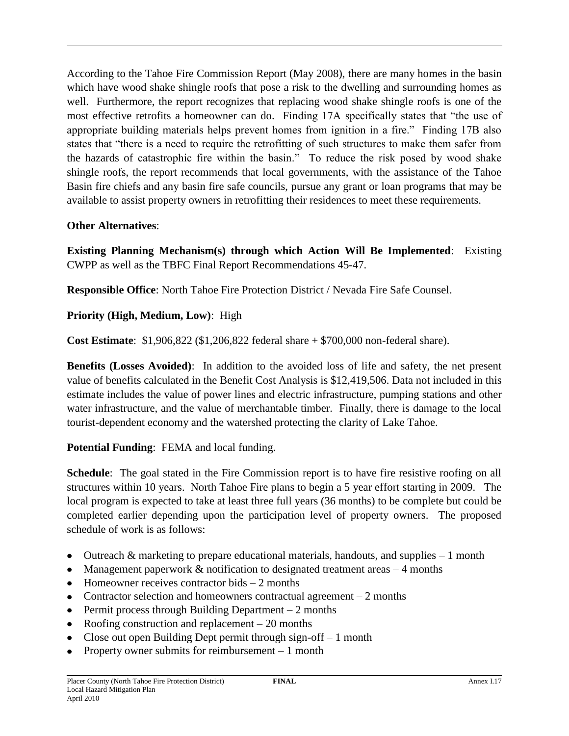According to the Tahoe Fire Commission Report (May 2008), there are many homes in the basin which have wood shake shingle roofs that pose a risk to the dwelling and surrounding homes as well. Furthermore, the report recognizes that replacing wood shake shingle roofs is one of the most effective retrofits a homeowner can do. Finding 17A specifically states that "the use of appropriate building materials helps prevent homes from ignition in a fire." Finding 17B also states that "there is a need to require the retrofitting of such structures to make them safer from the hazards of catastrophic fire within the basin." To reduce the risk posed by wood shake shingle roofs, the report recommends that local governments, with the assistance of the Tahoe Basin fire chiefs and any basin fire safe councils, pursue any grant or loan programs that may be available to assist property owners in retrofitting their residences to meet these requirements.

### **Other Alternatives**:

**Existing Planning Mechanism(s) through which Action Will Be Implemented**: Existing CWPP as well as the TBFC Final Report Recommendations 45-47.

**Responsible Office**: North Tahoe Fire Protection District / Nevada Fire Safe Counsel.

### **Priority (High, Medium, Low)**: High

**Cost Estimate**: \$1,906,822 (\$1,206,822 federal share + \$700,000 non-federal share).

**Benefits (Losses Avoided)**: In addition to the avoided loss of life and safety, the net present value of benefits calculated in the Benefit Cost Analysis is \$12,419,506. Data not included in this estimate includes the value of power lines and electric infrastructure, pumping stations and other water infrastructure, and the value of merchantable timber. Finally, there is damage to the local tourist-dependent economy and the watershed protecting the clarity of Lake Tahoe.

**Potential Funding**: FEMA and local funding.

**Schedule**: The goal stated in the Fire Commission report is to have fire resistive roofing on all structures within 10 years. North Tahoe Fire plans to begin a 5 year effort starting in 2009. The local program is expected to take at least three full years (36 months) to be complete but could be completed earlier depending upon the participation level of property owners. The proposed schedule of work is as follows:

- Outreach  $\&$  marketing to prepare educational materials, handouts, and supplies  $-1$  month  $\bullet$
- Management paperwork  $&$  notification to designated treatment areas  $-4$  months
- $\bullet$  Homeowner receives contractor bids  $-2$  months
- Contractor selection and homeowners contractual agreement  $-2$  months
- Permit process through Building Department  $-2$  months
- Roofing construction and replacement 20 months  $\bullet$
- Close out open Building Dept permit through sign-off  $-1$  month
- Property owner submits for reimbursement 1 month $\bullet$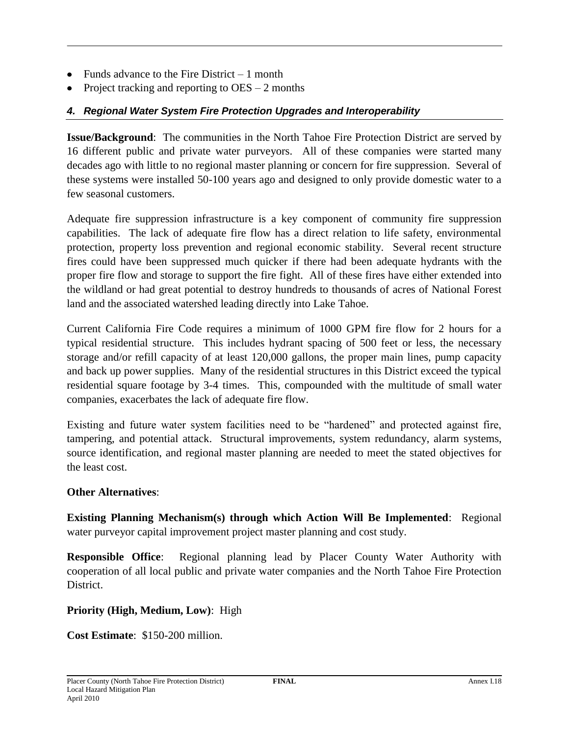- Funds advance to the Fire District 1 month
- Project tracking and reporting to  $\text{OES} 2$  months

### *4. Regional Water System Fire Protection Upgrades and Interoperability*

**Issue/Background**: The communities in the North Tahoe Fire Protection District are served by 16 different public and private water purveyors. All of these companies were started many decades ago with little to no regional master planning or concern for fire suppression. Several of these systems were installed 50-100 years ago and designed to only provide domestic water to a few seasonal customers.

Adequate fire suppression infrastructure is a key component of community fire suppression capabilities. The lack of adequate fire flow has a direct relation to life safety, environmental protection, property loss prevention and regional economic stability. Several recent structure fires could have been suppressed much quicker if there had been adequate hydrants with the proper fire flow and storage to support the fire fight. All of these fires have either extended into the wildland or had great potential to destroy hundreds to thousands of acres of National Forest land and the associated watershed leading directly into Lake Tahoe.

Current California Fire Code requires a minimum of 1000 GPM fire flow for 2 hours for a typical residential structure. This includes hydrant spacing of 500 feet or less, the necessary storage and/or refill capacity of at least 120,000 gallons, the proper main lines, pump capacity and back up power supplies. Many of the residential structures in this District exceed the typical residential square footage by 3-4 times. This, compounded with the multitude of small water companies, exacerbates the lack of adequate fire flow.

Existing and future water system facilities need to be "hardened" and protected against fire, tampering, and potential attack. Structural improvements, system redundancy, alarm systems, source identification, and regional master planning are needed to meet the stated objectives for the least cost.

### **Other Alternatives**:

**Existing Planning Mechanism(s) through which Action Will Be Implemented**: Regional water purveyor capital improvement project master planning and cost study.

**Responsible Office**: Regional planning lead by Placer County Water Authority with cooperation of all local public and private water companies and the North Tahoe Fire Protection District.

**Priority (High, Medium, Low)**: High

**Cost Estimate**: \$150-200 million.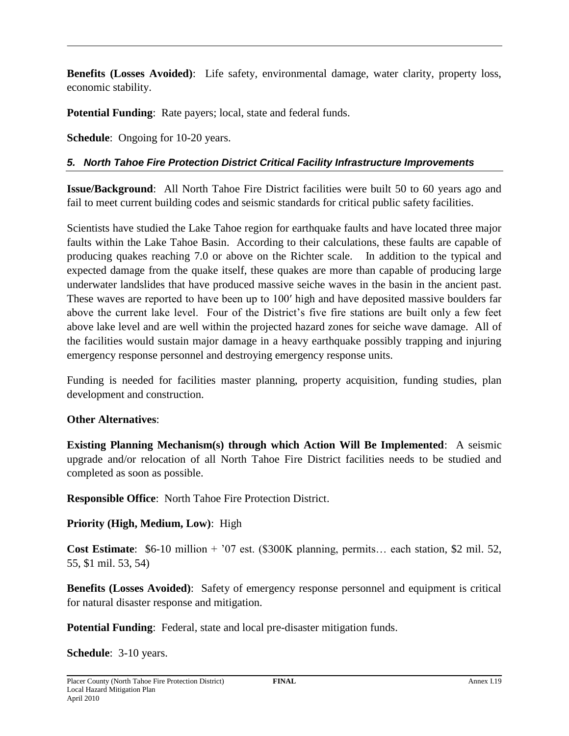**Benefits (Losses Avoided)**: Life safety, environmental damage, water clarity, property loss, economic stability.

**Potential Funding**: Rate payers; local, state and federal funds.

**Schedule**: Ongoing for 10-20 years.

### *5. North Tahoe Fire Protection District Critical Facility Infrastructure Improvements*

**Issue/Background**: All North Tahoe Fire District facilities were built 50 to 60 years ago and fail to meet current building codes and seismic standards for critical public safety facilities.

Scientists have studied the Lake Tahoe region for earthquake faults and have located three major faults within the Lake Tahoe Basin. According to their calculations, these faults are capable of producing quakes reaching 7.0 or above on the Richter scale. In addition to the typical and expected damage from the quake itself, these quakes are more than capable of producing large underwater landslides that have produced massive seiche waves in the basin in the ancient past. These waves are reported to have been up to 100′ high and have deposited massive boulders far above the current lake level. Four of the District's five fire stations are built only a few feet above lake level and are well within the projected hazard zones for seiche wave damage. All of the facilities would sustain major damage in a heavy earthquake possibly trapping and injuring emergency response personnel and destroying emergency response units.

Funding is needed for facilities master planning, property acquisition, funding studies, plan development and construction.

### **Other Alternatives**:

**Existing Planning Mechanism(s) through which Action Will Be Implemented**: A seismic upgrade and/or relocation of all North Tahoe Fire District facilities needs to be studied and completed as soon as possible.

**Responsible Office**: North Tahoe Fire Protection District.

### **Priority (High, Medium, Low)**: High

**Cost Estimate**: \$6-10 million + '07 est. (\$300K planning, permits… each station, \$2 mil. 52, 55, \$1 mil. 53, 54)

**Benefits (Losses Avoided)**: Safety of emergency response personnel and equipment is critical for natural disaster response and mitigation.

**Potential Funding**: Federal, state and local pre-disaster mitigation funds.

**Schedule**: 3-10 years.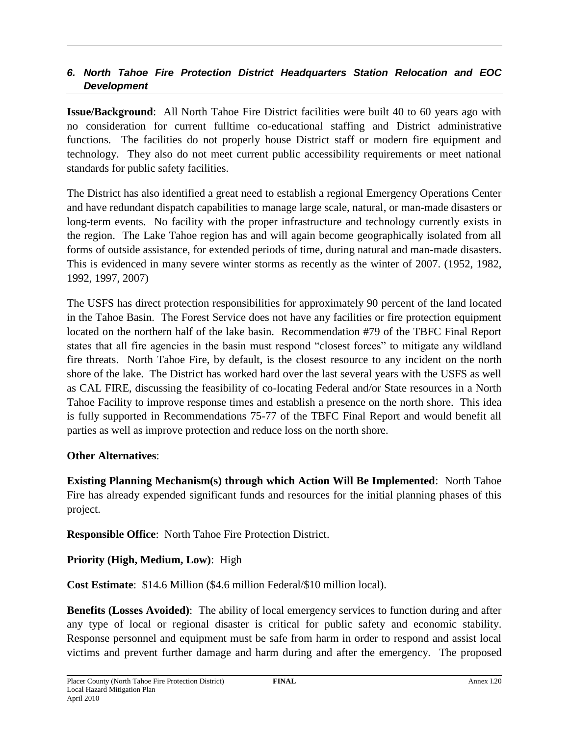### *6. North Tahoe Fire Protection District Headquarters Station Relocation and EOC Development*

**Issue/Background**: All North Tahoe Fire District facilities were built 40 to 60 years ago with no consideration for current fulltime co-educational staffing and District administrative functions. The facilities do not properly house District staff or modern fire equipment and technology. They also do not meet current public accessibility requirements or meet national standards for public safety facilities.

The District has also identified a great need to establish a regional Emergency Operations Center and have redundant dispatch capabilities to manage large scale, natural, or man-made disasters or long-term events. No facility with the proper infrastructure and technology currently exists in the region. The Lake Tahoe region has and will again become geographically isolated from all forms of outside assistance, for extended periods of time, during natural and man-made disasters. This is evidenced in many severe winter storms as recently as the winter of 2007. (1952, 1982, 1992, 1997, 2007)

The USFS has direct protection responsibilities for approximately 90 percent of the land located in the Tahoe Basin. The Forest Service does not have any facilities or fire protection equipment located on the northern half of the lake basin. Recommendation #79 of the TBFC Final Report states that all fire agencies in the basin must respond "closest forces" to mitigate any wildland fire threats. North Tahoe Fire, by default, is the closest resource to any incident on the north shore of the lake. The District has worked hard over the last several years with the USFS as well as CAL FIRE, discussing the feasibility of co-locating Federal and/or State resources in a North Tahoe Facility to improve response times and establish a presence on the north shore. This idea is fully supported in Recommendations 75-77 of the TBFC Final Report and would benefit all parties as well as improve protection and reduce loss on the north shore.

### **Other Alternatives**:

**Existing Planning Mechanism(s) through which Action Will Be Implemented**: North Tahoe Fire has already expended significant funds and resources for the initial planning phases of this project.

**Responsible Office**: North Tahoe Fire Protection District.

### **Priority (High, Medium, Low)**: High

**Cost Estimate**: \$14.6 Million (\$4.6 million Federal/\$10 million local).

**Benefits (Losses Avoided)**: The ability of local emergency services to function during and after any type of local or regional disaster is critical for public safety and economic stability. Response personnel and equipment must be safe from harm in order to respond and assist local victims and prevent further damage and harm during and after the emergency. The proposed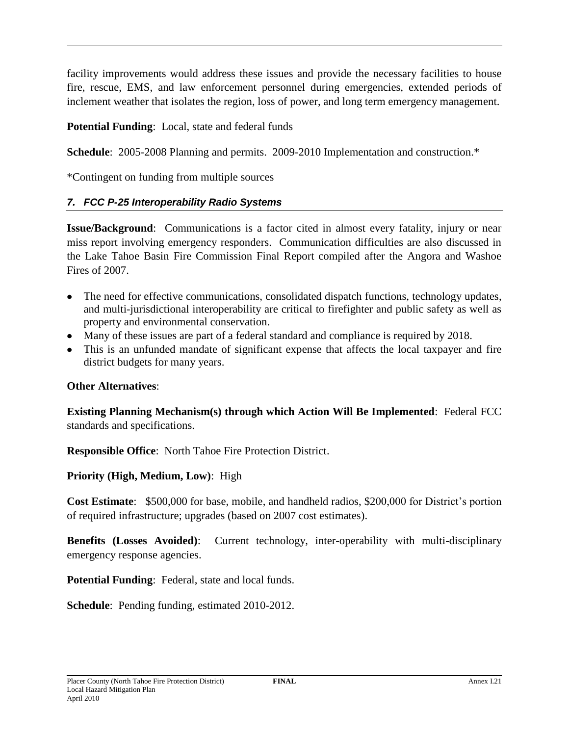facility improvements would address these issues and provide the necessary facilities to house fire, rescue, EMS, and law enforcement personnel during emergencies, extended periods of inclement weather that isolates the region, loss of power, and long term emergency management.

**Potential Funding**: Local, state and federal funds

**Schedule**: 2005-2008 Planning and permits. 2009-2010 Implementation and construction.\*

\*Contingent on funding from multiple sources

### *7. FCC P-25 Interoperability Radio Systems*

**Issue/Background**: Communications is a factor cited in almost every fatality, injury or near miss report involving emergency responders. Communication difficulties are also discussed in the Lake Tahoe Basin Fire Commission Final Report compiled after the Angora and Washoe Fires of 2007.

- The need for effective communications, consolidated dispatch functions, technology updates, and multi-jurisdictional interoperability are critical to firefighter and public safety as well as property and environmental conservation.
- Many of these issues are part of a federal standard and compliance is required by 2018.
- This is an unfunded mandate of significant expense that affects the local taxpayer and fire district budgets for many years.

### **Other Alternatives**:

**Existing Planning Mechanism(s) through which Action Will Be Implemented**: Federal FCC standards and specifications.

**Responsible Office**: North Tahoe Fire Protection District.

**Priority (High, Medium, Low)**: High

**Cost Estimate**: \$500,000 for base, mobile, and handheld radios, \$200,000 for District's portion of required infrastructure; upgrades (based on 2007 cost estimates).

**Benefits (Losses Avoided)**: Current technology, inter-operability with multi-disciplinary emergency response agencies.

**Potential Funding**: Federal, state and local funds.

**Schedule**: Pending funding, estimated 2010-2012.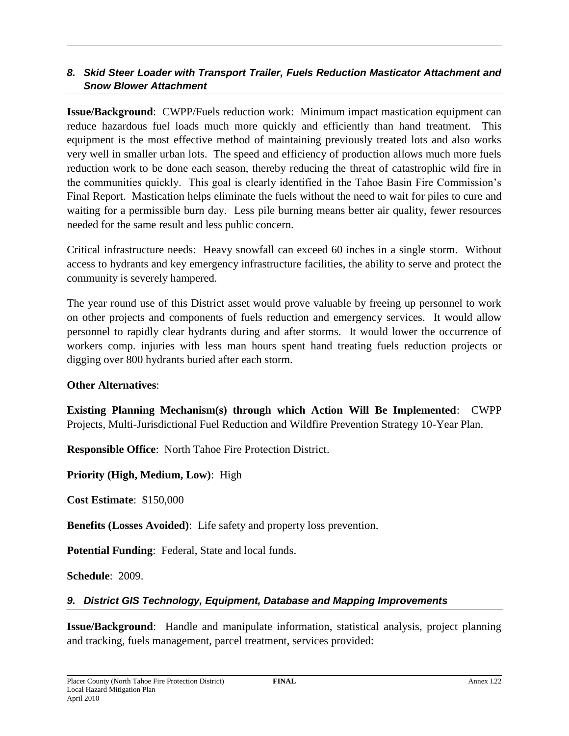### *8. Skid Steer Loader with Transport Trailer, Fuels Reduction Masticator Attachment and Snow Blower Attachment*

**Issue/Background**: CWPP/Fuels reduction work: Minimum impact mastication equipment can reduce hazardous fuel loads much more quickly and efficiently than hand treatment. This equipment is the most effective method of maintaining previously treated lots and also works very well in smaller urban lots. The speed and efficiency of production allows much more fuels reduction work to be done each season, thereby reducing the threat of catastrophic wild fire in the communities quickly. This goal is clearly identified in the Tahoe Basin Fire Commission's Final Report. Mastication helps eliminate the fuels without the need to wait for piles to cure and waiting for a permissible burn day. Less pile burning means better air quality, fewer resources needed for the same result and less public concern.

Critical infrastructure needs: Heavy snowfall can exceed 60 inches in a single storm. Without access to hydrants and key emergency infrastructure facilities, the ability to serve and protect the community is severely hampered.

The year round use of this District asset would prove valuable by freeing up personnel to work on other projects and components of fuels reduction and emergency services. It would allow personnel to rapidly clear hydrants during and after storms. It would lower the occurrence of workers comp. injuries with less man hours spent hand treating fuels reduction projects or digging over 800 hydrants buried after each storm.

### **Other Alternatives**:

**Existing Planning Mechanism(s) through which Action Will Be Implemented**: CWPP Projects, Multi-Jurisdictional Fuel Reduction and Wildfire Prevention Strategy 10-Year Plan.

**Responsible Office**: North Tahoe Fire Protection District.

**Priority (High, Medium, Low)**: High

**Cost Estimate**: \$150,000

**Benefits (Losses Avoided)**: Life safety and property loss prevention.

**Potential Funding**: Federal, State and local funds.

**Schedule**: 2009.

### *9. District GIS Technology, Equipment, Database and Mapping Improvements*

**Issue/Background**: Handle and manipulate information, statistical analysis, project planning and tracking, fuels management, parcel treatment, services provided: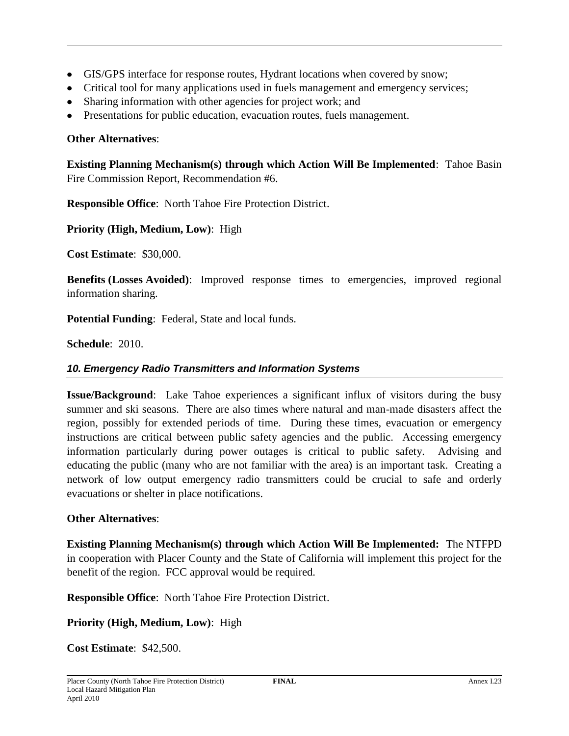- GIS/GPS interface for response routes, Hydrant locations when covered by snow;
- Critical tool for many applications used in fuels management and emergency services;
- Sharing information with other agencies for project work; and
- Presentations for public education, evacuation routes, fuels management.

### **Other Alternatives**:

**Existing Planning Mechanism(s) through which Action Will Be Implemented**: Tahoe Basin Fire Commission Report, Recommendation #6.

**Responsible Office**: North Tahoe Fire Protection District.

**Priority (High, Medium, Low)**: High

**Cost Estimate**: \$30,000.

**Benefits (Losses Avoided)**: Improved response times to emergencies, improved regional information sharing.

**Potential Funding**: Federal, State and local funds.

**Schedule**: 2010.

### *10. Emergency Radio Transmitters and Information Systems*

**Issue/Background**: Lake Tahoe experiences a significant influx of visitors during the busy summer and ski seasons. There are also times where natural and man-made disasters affect the region, possibly for extended periods of time. During these times, evacuation or emergency instructions are critical between public safety agencies and the public. Accessing emergency information particularly during power outages is critical to public safety. Advising and educating the public (many who are not familiar with the area) is an important task. Creating a network of low output emergency radio transmitters could be crucial to safe and orderly evacuations or shelter in place notifications.

### **Other Alternatives**:

**Existing Planning Mechanism(s) through which Action Will Be Implemented:** The NTFPD in cooperation with Placer County and the State of California will implement this project for the benefit of the region. FCC approval would be required.

**Responsible Office**: North Tahoe Fire Protection District.

**Priority (High, Medium, Low)**: High

**Cost Estimate**: \$42,500.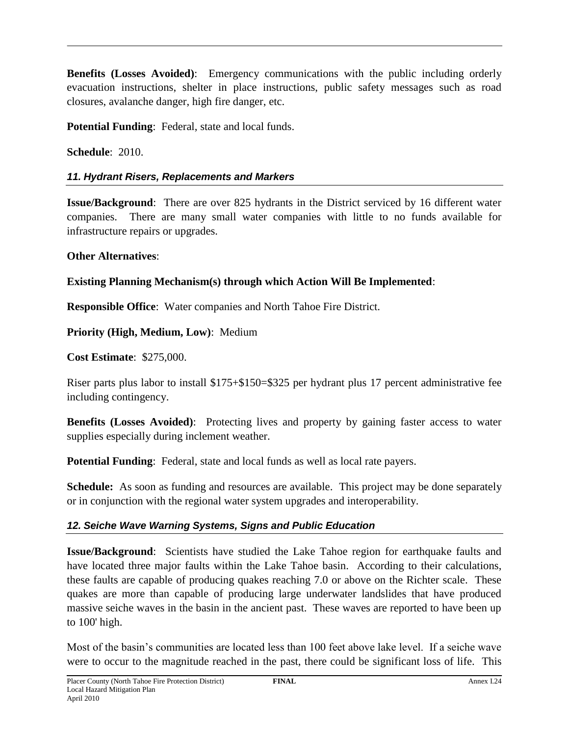**Benefits (Losses Avoided)**: Emergency communications with the public including orderly evacuation instructions, shelter in place instructions, public safety messages such as road closures, avalanche danger, high fire danger, etc.

**Potential Funding**: Federal, state and local funds.

**Schedule**: 2010.

### *11. Hydrant Risers, Replacements and Markers*

**Issue/Background**: There are over 825 hydrants in the District serviced by 16 different water companies. There are many small water companies with little to no funds available for infrastructure repairs or upgrades.

### **Other Alternatives**:

### **Existing Planning Mechanism(s) through which Action Will Be Implemented**:

**Responsible Office**: Water companies and North Tahoe Fire District.

**Priority (High, Medium, Low)**: Medium

**Cost Estimate**: \$275,000.

Riser parts plus labor to install \$175+\$150=\$325 per hydrant plus 17 percent administrative fee including contingency.

**Benefits (Losses Avoided)**: Protecting lives and property by gaining faster access to water supplies especially during inclement weather.

**Potential Funding**: Federal, state and local funds as well as local rate payers.

**Schedule:** As soon as funding and resources are available. This project may be done separately or in conjunction with the regional water system upgrades and interoperability.

### *12. Seiche Wave Warning Systems, Signs and Public Education*

**Issue/Background**: Scientists have studied the Lake Tahoe region for earthquake faults and have located three major faults within the Lake Tahoe basin. According to their calculations, these faults are capable of producing quakes reaching 7.0 or above on the Richter scale. These quakes are more than capable of producing large underwater landslides that have produced massive seiche waves in the basin in the ancient past. These waves are reported to have been up to 100' high.

Most of the basin's communities are located less than 100 feet above lake level. If a seiche wave were to occur to the magnitude reached in the past, there could be significant loss of life. This